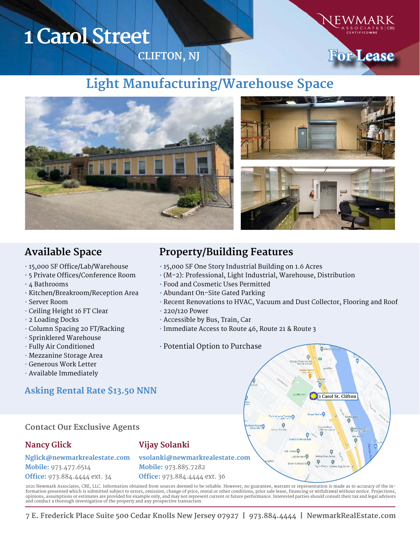# **1 Carol Street**

**CLIFTON, NJ**



## **Light Manufacturing/Warehouse Space**



- 15,000 SF Office/Lab/Warehouse
- 5 Private Offices/Conference Room
- 4 Bathrooms
- Kitchen/Breakroom/Reception Area
- Server Room
- Ceiling Height 16 FT Clear
- 2 Loading Docks
- Column Spacing 20 FT/Racking
- Sprinklered Warehouse
- Fully Air Conditioned
- Mezzanine Storage Area
- Generous Work Letter
- Available Immediately

### **Contact Our Exclusive Agents**

**Nglick@newmarkrealestate.com** 

### **Nancy Glick**

**Mobile:** 973.477.6514

**Office:** 973.884.4444 ext. 34

### **Vijay Solanki**

**vsolanki@newmarkrealestate.com Mobile:** 973.885.7282 **Office:** 973.884.4444 ext. 36

2021 Newmark Associates, CRE, LLC. Information obtained from sources deemed to be reliable. However, no guarantee, warrant or representation is made as to accuracy of the information presented which is submitted subject to errors, omission, change of price, rental or other conditions, prior sale lease, financing or withdrawal without notice. Projections,<br>opinions, assumptions or estimates are and conduct a thorough investigation of the property and any prospective transaction.

**7 E. Frederick Place Suite 500 Cedar Knolls New Jersey 07927 | 973.884.4444 | NewmarkRealEstate.com** 

## **Available Space Property/Building Features**

- 15,000 SF One Story Industrial Building on 1.6 Acres
- (M-2): Professional, Light Industrial, Warehouse, Distribution
- Food and Cosmetic Uses Permitted
- Abundant On-Site Gated Parking
- Recent Renovations to HVAC, Vacuum and Dust Collector, Flooring and Roof
- 220/120 Power
- Accessible by Bus, Train, Car
- Immediate Access to Route 46, Route 21 & Route 3

#### • Potential Option to Purchase